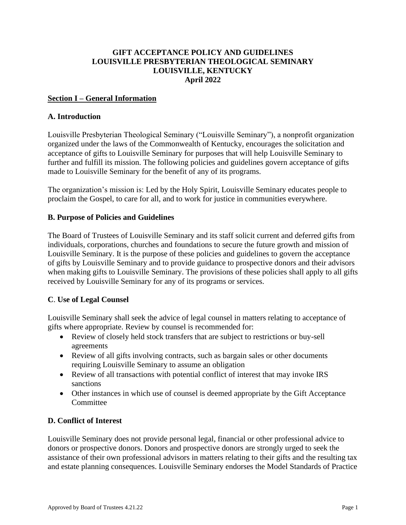# **GIFT ACCEPTANCE POLICY AND GUIDELINES LOUISVILLE PRESBYTERIAN THEOLOGICAL SEMINARY LOUISVILLE, KENTUCKY April 2022**

### **Section I – General Information**

### **A. Introduction**

Louisville Presbyterian Theological Seminary ("Louisville Seminary"), a nonprofit organization organized under the laws of the Commonwealth of Kentucky, encourages the solicitation and acceptance of gifts to Louisville Seminary for purposes that will help Louisville Seminary to further and fulfill its mission. The following policies and guidelines govern acceptance of gifts made to Louisville Seminary for the benefit of any of its programs.

The organization's mission is: Led by the Holy Spirit, Louisville Seminary educates people to proclaim the Gospel, to care for all, and to work for justice in communities everywhere.

### **B. Purpose of Policies and Guidelines**

The Board of Trustees of Louisville Seminary and its staff solicit current and deferred gifts from individuals, corporations, churches and foundations to secure the future growth and mission of Louisville Seminary. It is the purpose of these policies and guidelines to govern the acceptance of gifts by Louisville Seminary and to provide guidance to prospective donors and their advisors when making gifts to Louisville Seminary. The provisions of these policies shall apply to all gifts received by Louisville Seminary for any of its programs or services.

### **C**. **Use of Legal Counsel**

Louisville Seminary shall seek the advice of legal counsel in matters relating to acceptance of gifts where appropriate. Review by counsel is recommended for:

- Review of closely held stock transfers that are subject to restrictions or buy-sell agreements
- Review of all gifts involving contracts, such as bargain sales or other documents requiring Louisville Seminary to assume an obligation
- Review of all transactions with potential conflict of interest that may invoke IRS sanctions
- Other instances in which use of counsel is deemed appropriate by the Gift Acceptance **Committee**

### **D. Conflict of Interest**

Louisville Seminary does not provide personal legal, financial or other professional advice to donors or prospective donors. Donors and prospective donors are strongly urged to seek the assistance of their own professional advisors in matters relating to their gifts and the resulting tax and estate planning consequences. Louisville Seminary endorses the Model Standards of Practice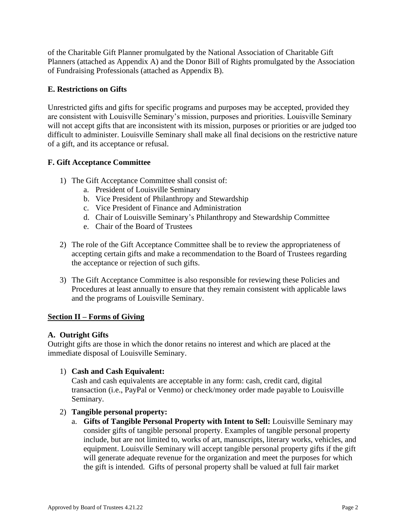of the Charitable Gift Planner promulgated by the National Association of Charitable Gift Planners (attached as Appendix A) and the Donor Bill of Rights promulgated by the Association of Fundraising Professionals (attached as Appendix B).

# **E. Restrictions on Gifts**

Unrestricted gifts and gifts for specific programs and purposes may be accepted, provided they are consistent with Louisville Seminary's mission, purposes and priorities. Louisville Seminary will not accept gifts that are inconsistent with its mission, purposes or priorities or are judged too difficult to administer. Louisville Seminary shall make all final decisions on the restrictive nature of a gift, and its acceptance or refusal.

# **F. Gift Acceptance Committee**

- 1) The Gift Acceptance Committee shall consist of:
	- a. President of Louisville Seminary
	- b. Vice President of Philanthropy and Stewardship
	- c. Vice President of Finance and Administration
	- d. Chair of Louisville Seminary's Philanthropy and Stewardship Committee
	- e. Chair of the Board of Trustees
- 2) The role of the Gift Acceptance Committee shall be to review the appropriateness of accepting certain gifts and make a recommendation to the Board of Trustees regarding the acceptance or rejection of such gifts.
- 3) The Gift Acceptance Committee is also responsible for reviewing these Policies and Procedures at least annually to ensure that they remain consistent with applicable laws and the programs of Louisville Seminary.

# **Section II – Forms of Giving**

# **A. Outright Gifts**

Outright gifts are those in which the donor retains no interest and which are placed at the immediate disposal of Louisville Seminary.

1) **Cash and Cash Equivalent:**

Cash and cash equivalents are acceptable in any form: cash, credit card, digital transaction (i.e., PayPal or Venmo) or check/money order made payable to Louisville Seminary.

# 2) **Tangible personal property:**

a. **Gifts of Tangible Personal Property with Intent to Sell:** Louisville Seminary may consider gifts of tangible personal property. Examples of tangible personal property include, but are not limited to, works of art, manuscripts, literary works, vehicles, and equipment. Louisville Seminary will accept tangible personal property gifts if the gift will generate adequate revenue for the organization and meet the purposes for which the gift is intended. Gifts of personal property shall be valued at full fair market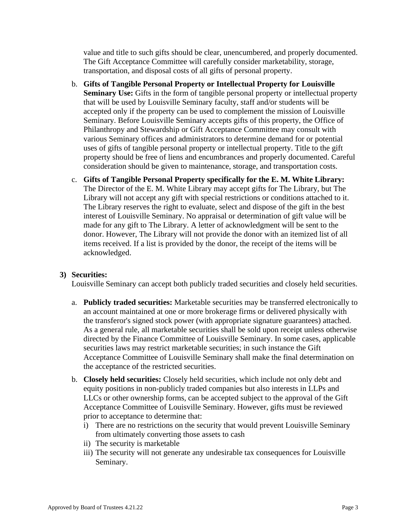value and title to such gifts should be clear, unencumbered, and properly documented. The Gift Acceptance Committee will carefully consider marketability, storage, transportation, and disposal costs of all gifts of personal property.

- b. **Gifts of Tangible Personal Property or Intellectual Property for Louisville Seminary Use:** Gifts in the form of tangible personal property or intellectual property that will be used by Louisville Seminary faculty, staff and/or students will be accepted only if the property can be used to complement the mission of Louisville Seminary. Before Louisville Seminary accepts gifts of this property, the Office of Philanthropy and Stewardship or Gift Acceptance Committee may consult with various Seminary offices and administrators to determine demand for or potential uses of gifts of tangible personal property or intellectual property. Title to the gift property should be free of liens and encumbrances and properly documented. Careful consideration should be given to maintenance, storage, and transportation costs.
- c. **Gifts of Tangible Personal Property specifically for the E. M. White Library:** The Director of the E. M. White Library may accept gifts for The Library, but The Library will not accept any gift with special restrictions or conditions attached to it. The Library reserves the right to evaluate, select and dispose of the gift in the best interest of Louisville Seminary. No appraisal or determination of gift value will be made for any gift to The Library. A letter of acknowledgment will be sent to the donor. However, The Library will not provide the donor with an itemized list of all items received. If a list is provided by the donor, the receipt of the items will be acknowledged.

### **3) Securities:**

Louisville Seminary can accept both publicly traded securities and closely held securities.

- a. **Publicly traded securities:** Marketable securities may be transferred electronically to an account maintained at one or more brokerage firms or delivered physically with the transferor's signed stock power (with appropriate signature guarantees) attached. As a general rule, all marketable securities shall be sold upon receipt unless otherwise directed by the Finance Committee of Louisville Seminary. In some cases, applicable securities laws may restrict marketable securities; in such instance the Gift Acceptance Committee of Louisville Seminary shall make the final determination on the acceptance of the restricted securities.
- b. **Closely held securities:** Closely held securities, which include not only debt and equity positions in non-publicly traded companies but also interests in LLPs and LLCs or other ownership forms, can be accepted subject to the approval of the Gift Acceptance Committee of Louisville Seminary. However, gifts must be reviewed prior to acceptance to determine that:
	- i) There are no restrictions on the security that would prevent Louisville Seminary from ultimately converting those assets to cash
	- ii) The security is marketable
	- iii) The security will not generate any undesirable tax consequences for Louisville Seminary.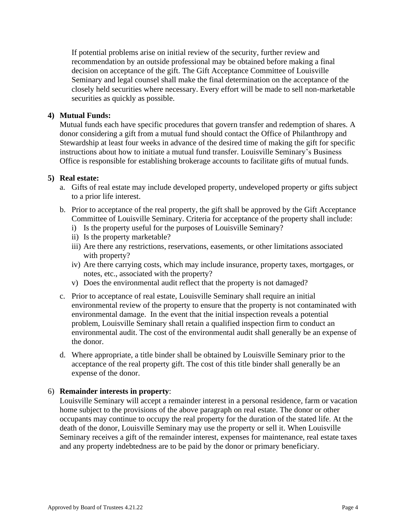If potential problems arise on initial review of the security, further review and recommendation by an outside professional may be obtained before making a final decision on acceptance of the gift. The Gift Acceptance Committee of Louisville Seminary and legal counsel shall make the final determination on the acceptance of the closely held securities where necessary. Every effort will be made to sell non-marketable securities as quickly as possible.

### **4) Mutual Funds:**

Mutual funds each have specific procedures that govern transfer and redemption of shares. A donor considering a gift from a mutual fund should contact the Office of Philanthropy and Stewardship at least four weeks in advance of the desired time of making the gift for specific instructions about how to initiate a mutual fund transfer. Louisville Seminary's Business Office is responsible for establishing brokerage accounts to facilitate gifts of mutual funds.

### **5) Real estate:**

- a. Gifts of real estate may include developed property, undeveloped property or gifts subject to a prior life interest.
- b. Prior to acceptance of the real property, the gift shall be approved by the Gift Acceptance Committee of Louisville Seminary. Criteria for acceptance of the property shall include:
	- i) Is the property useful for the purposes of Louisville Seminary?
	- ii) Is the property marketable?
	- iii) Are there any restrictions, reservations, easements, or other limitations associated with property?
	- iv) Are there carrying costs, which may include insurance, property taxes, mortgages, or notes, etc., associated with the property?
	- v) Does the environmental audit reflect that the property is not damaged?
- c. Prior to acceptance of real estate, Louisville Seminary shall require an initial environmental review of the property to ensure that the property is not contaminated with environmental damage. In the event that the initial inspection reveals a potential problem, Louisville Seminary shall retain a qualified inspection firm to conduct an environmental audit. The cost of the environmental audit shall generally be an expense of the donor.
- d. Where appropriate, a title binder shall be obtained by Louisville Seminary prior to the acceptance of the real property gift. The cost of this title binder shall generally be an expense of the donor.

### 6) **Remainder interests in property**:

Louisville Seminary will accept a remainder interest in a personal residence, farm or vacation home subject to the provisions of the above paragraph on real estate. The donor or other occupants may continue to occupy the real property for the duration of the stated life. At the death of the donor, Louisville Seminary may use the property or sell it. When Louisville Seminary receives a gift of the remainder interest, expenses for maintenance, real estate taxes and any property indebtedness are to be paid by the donor or primary beneficiary.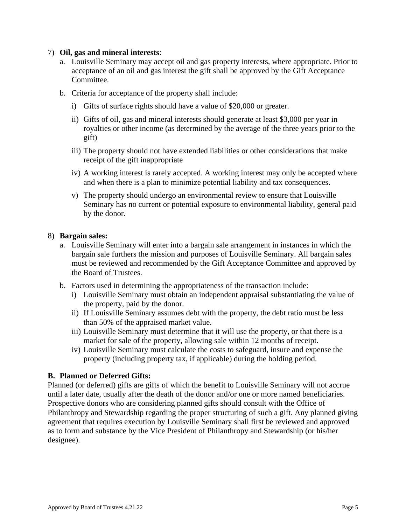### 7) **Oil, gas and mineral interests**:

- a. Louisville Seminary may accept oil and gas property interests, where appropriate. Prior to acceptance of an oil and gas interest the gift shall be approved by the Gift Acceptance Committee.
- b. Criteria for acceptance of the property shall include:
	- i) Gifts of surface rights should have a value of \$20,000 or greater.
	- ii) Gifts of oil, gas and mineral interests should generate at least \$3,000 per year in royalties or other income (as determined by the average of the three years prior to the gift)
	- iii) The property should not have extended liabilities or other considerations that make receipt of the gift inappropriate
	- iv) A working interest is rarely accepted. A working interest may only be accepted where and when there is a plan to minimize potential liability and tax consequences.
	- v) The property should undergo an environmental review to ensure that Louisville Seminary has no current or potential exposure to environmental liability, general paid by the donor.

### 8) **Bargain sales:**

- a. Louisville Seminary will enter into a bargain sale arrangement in instances in which the bargain sale furthers the mission and purposes of Louisville Seminary. All bargain sales must be reviewed and recommended by the Gift Acceptance Committee and approved by the Board of Trustees.
- b. Factors used in determining the appropriateness of the transaction include:
	- i) Louisville Seminary must obtain an independent appraisal substantiating the value of the property, paid by the donor.
	- ii) If Louisville Seminary assumes debt with the property, the debt ratio must be less than 50% of the appraised market value.
	- iii) Louisville Seminary must determine that it will use the property, or that there is a market for sale of the property, allowing sale within 12 months of receipt.
	- iv) Louisville Seminary must calculate the costs to safeguard, insure and expense the property (including property tax, if applicable) during the holding period.

# **B. Planned or Deferred Gifts:**

Planned (or deferred) gifts are gifts of which the benefit to Louisville Seminary will not accrue until a later date, usually after the death of the donor and/or one or more named beneficiaries. Prospective donors who are considering planned gifts should consult with the Office of Philanthropy and Stewardship regarding the proper structuring of such a gift. Any planned giving agreement that requires execution by Louisville Seminary shall first be reviewed and approved as to form and substance by the Vice President of Philanthropy and Stewardship (or his/her designee).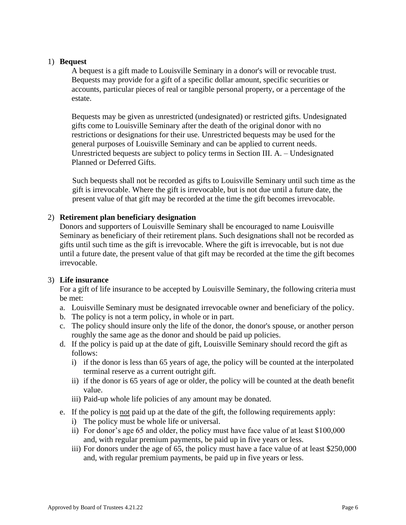### 1) **Bequest**

A bequest is a gift made to Louisville Seminary in a donor's will or revocable trust. Bequests may provide for a gift of a specific dollar amount, specific securities or accounts, particular pieces of real or tangible personal property, or a percentage of the estate.

Bequests may be given as unrestricted (undesignated) or restricted gifts. Undesignated gifts come to Louisville Seminary after the death of the original donor with no restrictions or designations for their use. Unrestricted bequests may be used for the general purposes of Louisville Seminary and can be applied to current needs. Unrestricted bequests are subject to policy terms in Section III. A. – Undesignated Planned or Deferred Gifts.

Such bequests shall not be recorded as gifts to Louisville Seminary until such time as the gift is irrevocable. Where the gift is irrevocable, but is not due until a future date, the present value of that gift may be recorded at the time the gift becomes irrevocable.

### 2) **Retirement plan beneficiary designation**

Donors and supporters of Louisville Seminary shall be encouraged to name Louisville Seminary as beneficiary of their retirement plans. Such designations shall not be recorded as gifts until such time as the gift is irrevocable. Where the gift is irrevocable, but is not due until a future date, the present value of that gift may be recorded at the time the gift becomes irrevocable.

### 3) **Life insurance**

For a gift of life insurance to be accepted by Louisville Seminary, the following criteria must be met:

- a. Louisville Seminary must be designated irrevocable owner and beneficiary of the policy.
- b. The policy is not a term policy, in whole or in part.
- c. The policy should insure only the life of the donor, the donor's spouse, or another person roughly the same age as the donor and should be paid up policies.
- d. If the policy is paid up at the date of gift, Louisville Seminary should record the gift as follows:
	- i) if the donor is less than 65 years of age, the policy will be counted at the interpolated terminal reserve as a current outright gift.
	- ii) if the donor is 65 years of age or older, the policy will be counted at the death benefit value.
	- iii) Paid-up whole life policies of any amount may be donated.
- e. If the policy is not paid up at the date of the gift, the following requirements apply:
	- i) The policy must be whole life or universal.
	- ii) For donor's age 65 and older, the policy must have face value of at least \$100,000 and, with regular premium payments, be paid up in five years or less.
	- iii) For donors under the age of 65, the policy must have a face value of at least \$250,000 and, with regular premium payments, be paid up in five years or less.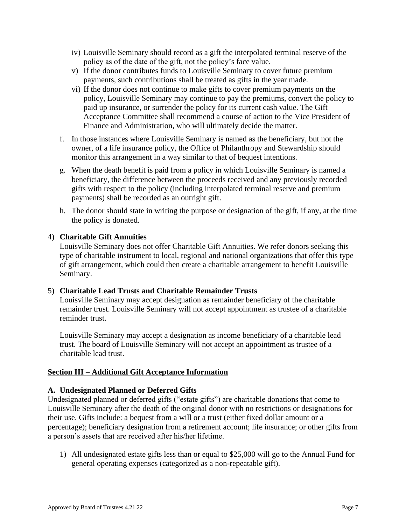- iv) Louisville Seminary should record as a gift the interpolated terminal reserve of the policy as of the date of the gift, not the policy's face value.
- v) If the donor contributes funds to Louisville Seminary to cover future premium payments, such contributions shall be treated as gifts in the year made.
- vi) If the donor does not continue to make gifts to cover premium payments on the policy, Louisville Seminary may continue to pay the premiums, convert the policy to paid up insurance, or surrender the policy for its current cash value. The Gift Acceptance Committee shall recommend a course of action to the Vice President of Finance and Administration, who will ultimately decide the matter.
- f. In those instances where Louisville Seminary is named as the beneficiary, but not the owner, of a life insurance policy, the Office of Philanthropy and Stewardship should monitor this arrangement in a way similar to that of bequest intentions.
- g. When the death benefit is paid from a policy in which Louisville Seminary is named a beneficiary, the difference between the proceeds received and any previously recorded gifts with respect to the policy (including interpolated terminal reserve and premium payments) shall be recorded as an outright gift.
- h. The donor should state in writing the purpose or designation of the gift, if any, at the time the policy is donated.

### 4) **Charitable Gift Annuities**

Louisville Seminary does not offer Charitable Gift Annuities. We refer donors seeking this type of charitable instrument to local, regional and national organizations that offer this type of gift arrangement, which could then create a charitable arrangement to benefit Louisville Seminary.

### 5) **Charitable Lead Trusts and Charitable Remainder Trusts**

Louisville Seminary may accept designation as remainder beneficiary of the charitable remainder trust. Louisville Seminary will not accept appointment as trustee of a charitable reminder trust.

Louisville Seminary may accept a designation as income beneficiary of a charitable lead trust. The board of Louisville Seminary will not accept an appointment as trustee of a charitable lead trust.

### **Section III – Additional Gift Acceptance Information**

### **A. Undesignated Planned or Deferred Gifts**

Undesignated planned or deferred gifts ("estate gifts") are charitable donations that come to Louisville Seminary after the death of the original donor with no restrictions or designations for their use. Gifts include: a bequest from a will or a trust (either fixed dollar amount or a percentage); beneficiary designation from a retirement account; life insurance; or other gifts from a person's assets that are received after his/her lifetime.

1) All undesignated estate gifts less than or equal to \$25,000 will go to the Annual Fund for general operating expenses (categorized as a non-repeatable gift).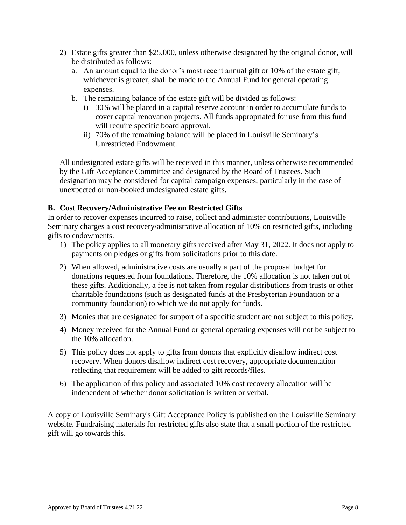- 2) Estate gifts greater than \$25,000, unless otherwise designated by the original donor, will be distributed as follows:
	- a. An amount equal to the donor's most recent annual gift or 10% of the estate gift, whichever is greater, shall be made to the Annual Fund for general operating expenses.
	- b. The remaining balance of the estate gift will be divided as follows:
		- i) 30% will be placed in a capital reserve account in order to accumulate funds to cover capital renovation projects. All funds appropriated for use from this fund will require specific board approval.
		- ii) 70% of the remaining balance will be placed in Louisville Seminary's Unrestricted Endowment.

All undesignated estate gifts will be received in this manner, unless otherwise recommended by the Gift Acceptance Committee and designated by the Board of Trustees. Such designation may be considered for capital campaign expenses, particularly in the case of unexpected or non-booked undesignated estate gifts.

### **B. Cost Recovery/Administrative Fee on Restricted Gifts**

In order to recover expenses incurred to raise, collect and administer contributions, Louisville Seminary charges a cost recovery/administrative allocation of 10% on restricted gifts, including gifts to endowments.

- 1) The policy applies to all monetary gifts received after May 31, 2022. It does not apply to payments on pledges or gifts from solicitations prior to this date.
- 2) When allowed, administrative costs are usually a part of the proposal budget for donations requested from foundations. Therefore, the 10% allocation is not taken out of these gifts. Additionally, a fee is not taken from regular distributions from trusts or other charitable foundations (such as designated funds at the Presbyterian Foundation or a community foundation) to which we do not apply for funds.
- 3) Monies that are designated for support of a specific student are not subject to this policy.
- 4) Money received for the Annual Fund or general operating expenses will not be subject to the 10% allocation.
- 5) This policy does not apply to gifts from donors that explicitly disallow indirect cost recovery. When donors disallow indirect cost recovery, appropriate documentation reflecting that requirement will be added to gift records/files.
- 6) The application of this policy and associated 10% cost recovery allocation will be independent of whether donor solicitation is written or verbal.

A copy of Louisville Seminary's Gift Acceptance Policy is published on the Louisville Seminary website. Fundraising materials for restricted gifts also state that a small portion of the restricted gift will go towards this.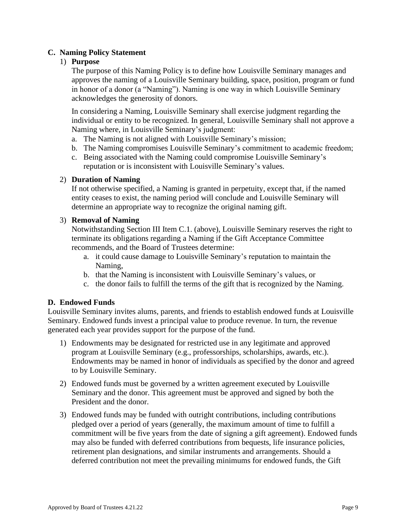# **C. Naming Policy Statement**

### 1) **Purpose**

The purpose of this Naming Policy is to define how Louisville Seminary manages and approves the naming of a Louisville Seminary building, space, position, program or fund in honor of a donor (a "Naming"). Naming is one way in which Louisville Seminary acknowledges the generosity of donors.

In considering a Naming, Louisville Seminary shall exercise judgment regarding the individual or entity to be recognized. In general, Louisville Seminary shall not approve a Naming where, in Louisville Seminary's judgment:

- a. The Naming is not aligned with Louisville Seminary's mission;
- b. The Naming compromises Louisville Seminary's commitment to academic freedom;
- c. Being associated with the Naming could compromise Louisville Seminary's reputation or is inconsistent with Louisville Seminary's values.

### 2) **Duration of Naming**

If not otherwise specified, a Naming is granted in perpetuity, except that, if the named entity ceases to exist, the naming period will conclude and Louisville Seminary will determine an appropriate way to recognize the original naming gift.

### 3) **Removal of Naming**

Notwithstanding Section III Item C.1. (above), Louisville Seminary reserves the right to terminate its obligations regarding a Naming if the Gift Acceptance Committee recommends, and the Board of Trustees determine:

- a. it could cause damage to Louisville Seminary's reputation to maintain the Naming,
- b. that the Naming is inconsistent with Louisville Seminary's values, or
- c. the donor fails to fulfill the terms of the gift that is recognized by the Naming.

### **D. Endowed Funds**

Louisville Seminary invites alums, parents, and friends to establish endowed funds at Louisville Seminary. Endowed funds invest a principal value to produce revenue. In turn, the revenue generated each year provides support for the purpose of the fund.

- 1) Endowments may be designated for restricted use in any legitimate and approved program at Louisville Seminary (e.g., professorships, scholarships, awards, etc.). Endowments may be named in honor of individuals as specified by the donor and agreed to by Louisville Seminary.
- 2) Endowed funds must be governed by a written agreement executed by Louisville Seminary and the donor. This agreement must be approved and signed by both the President and the donor.
- 3) Endowed funds may be funded with outright contributions, including contributions pledged over a period of years (generally, the maximum amount of time to fulfill a commitment will be five years from the date of signing a gift agreement). Endowed funds may also be funded with deferred contributions from bequests, life insurance policies, retirement plan designations, and similar instruments and arrangements. Should a deferred contribution not meet the prevailing minimums for endowed funds, the Gift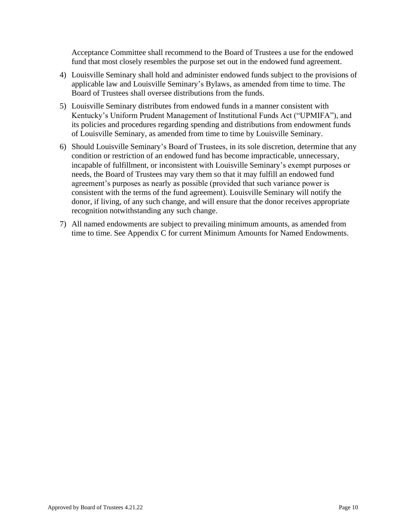Acceptance Committee shall recommend to the Board of Trustees a use for the endowed fund that most closely resembles the purpose set out in the endowed fund agreement.

- 4) Louisville Seminary shall hold and administer endowed funds subject to the provisions of applicable law and Louisville Seminary's Bylaws, as amended from time to time. The Board of Trustees shall oversee distributions from the funds.
- 5) Louisville Seminary distributes from endowed funds in a manner consistent with Kentucky's Uniform Prudent Management of Institutional Funds Act ("UPMIFA"), and its policies and procedures regarding spending and distributions from endowment funds of Louisville Seminary, as amended from time to time by Louisville Seminary.
- 6) Should Louisville Seminary's Board of Trustees, in its sole discretion, determine that any condition or restriction of an endowed fund has become impracticable, unnecessary, incapable of fulfillment, or inconsistent with Louisville Seminary's exempt purposes or needs, the Board of Trustees may vary them so that it may fulfill an endowed fund agreement's purposes as nearly as possible (provided that such variance power is consistent with the terms of the fund agreement). Louisville Seminary will notify the donor, if living, of any such change, and will ensure that the donor receives appropriate recognition notwithstanding any such change.
- 7) All named endowments are subject to prevailing minimum amounts, as amended from time to time. See Appendix C for current Minimum Amounts for Named Endowments.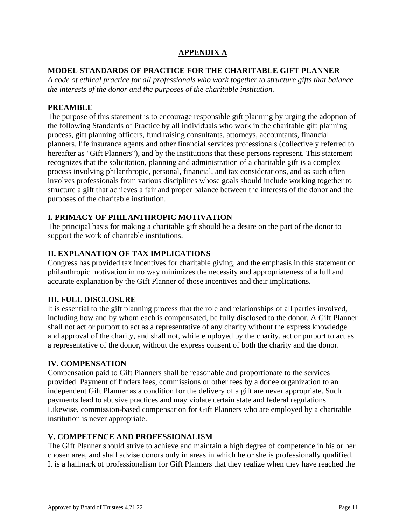# **APPENDIX A**

### **MODEL STANDARDS OF PRACTICE FOR THE CHARITABLE GIFT PLANNER**

*A code of ethical practice for all professionals who work together to structure gifts that balance the interests of the donor and the purposes of the charitable institution.* 

### **PREAMBLE**

The purpose of this statement is to encourage responsible gift planning by urging the adoption of the following Standards of Practice by all individuals who work in the charitable gift planning process, gift planning officers, fund raising consultants, attorneys, accountants, financial planners, life insurance agents and other financial services professionals (collectively referred to hereafter as "Gift Planners"), and by the institutions that these persons represent. This statement recognizes that the solicitation, planning and administration of a charitable gift is a complex process involving philanthropic, personal, financial, and tax considerations, and as such often involves professionals from various disciplines whose goals should include working together to structure a gift that achieves a fair and proper balance between the interests of the donor and the purposes of the charitable institution.

### **I. PRIMACY OF PHILANTHROPIC MOTIVATION**

The principal basis for making a charitable gift should be a desire on the part of the donor to support the work of charitable institutions.

### **II. EXPLANATION OF TAX IMPLICATIONS**

Congress has provided tax incentives for charitable giving, and the emphasis in this statement on philanthropic motivation in no way minimizes the necessity and appropriateness of a full and accurate explanation by the Gift Planner of those incentives and their implications.

### **III. FULL DISCLOSURE**

It is essential to the gift planning process that the role and relationships of all parties involved, including how and by whom each is compensated, be fully disclosed to the donor. A Gift Planner shall not act or purport to act as a representative of any charity without the express knowledge and approval of the charity, and shall not, while employed by the charity, act or purport to act as a representative of the donor, without the express consent of both the charity and the donor.

#### **IV. COMPENSATION**

Compensation paid to Gift Planners shall be reasonable and proportionate to the services provided. Payment of finders fees, commissions or other fees by a donee organization to an independent Gift Planner as a condition for the delivery of a gift are never appropriate. Such payments lead to abusive practices and may violate certain state and federal regulations. Likewise, commission-based compensation for Gift Planners who are employed by a charitable institution is never appropriate.

### **V. COMPETENCE AND PROFESSIONALISM**

The Gift Planner should strive to achieve and maintain a high degree of competence in his or her chosen area, and shall advise donors only in areas in which he or she is professionally qualified. It is a hallmark of professionalism for Gift Planners that they realize when they have reached the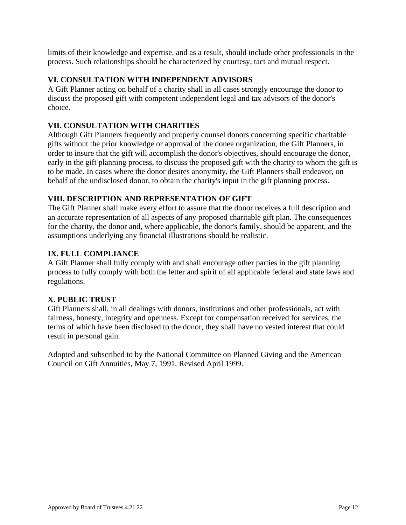limits of their knowledge and expertise, and as a result, should include other professionals in the process. Such relationships should be characterized by courtesy, tact and mutual respect.

### **VI. CONSULTATION WITH INDEPENDENT ADVISORS**

A Gift Planner acting on behalf of a charity shall in all cases strongly encourage the donor to discuss the proposed gift with competent independent legal and tax advisors of the donor's choice.

# **VII. CONSULTATION WITH CHARITIES**

Although Gift Planners frequently and properly counsel donors concerning specific charitable gifts without the prior knowledge or approval of the donee organization, the Gift Planners, in order to insure that the gift will accomplish the donor's objectives, should encourage the donor, early in the gift planning process, to discuss the proposed gift with the charity to whom the gift is to be made. In cases where the donor desires anonymity, the Gift Planners shall endeavor, on behalf of the undisclosed donor, to obtain the charity's input in the gift planning process.

# **VIII. DESCRIPTION AND REPRESENTATION OF GIFT**

The Gift Planner shall make every effort to assure that the donor receives a full description and an accurate representation of all aspects of any proposed charitable gift plan. The consequences for the charity, the donor and, where applicable, the donor's family, should be apparent, and the assumptions underlying any financial illustrations should be realistic.

### **IX. FULL COMPLIANCE**

A Gift Planner shall fully comply with and shall encourage other parties in the gift planning process to fully comply with both the letter and spirit of all applicable federal and state laws and regulations.

### **X. PUBLIC TRUST**

Gift Planners shall, in all dealings with donors, institutions and other professionals, act with fairness, honesty, integrity and openness. Except for compensation received for services, the terms of which have been disclosed to the donor, they shall have no vested interest that could result in personal gain.

Adopted and subscribed to by the National Committee on Planned Giving and the American Council on Gift Annuities, May 7, 1991. Revised April 1999.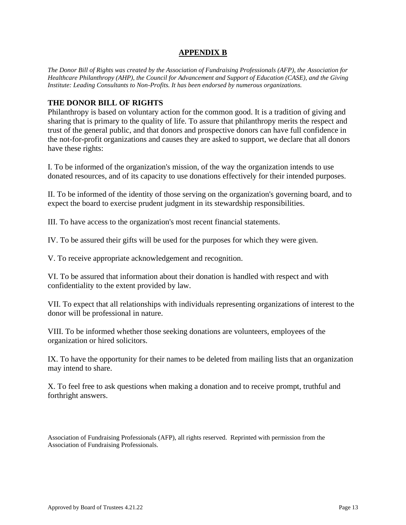# **APPENDIX B**

*The Donor Bill of Rights was created by the Association of Fundraising Professionals (AFP), the Association for Healthcare Philanthropy (AHP), the Council for Advancement and Support of Education (CASE), and the Giving Institute: Leading Consultants to Non-Profits. It has been endorsed by numerous organizations.*

### **THE DONOR BILL OF RIGHTS**

Philanthropy is based on voluntary action for the common good. It is a tradition of giving and sharing that is primary to the quality of life. To assure that philanthropy merits the respect and trust of the general public, and that donors and prospective donors can have full confidence in the not-for-profit organizations and causes they are asked to support, we declare that all donors have these rights:

I. To be informed of the organization's mission, of the way the organization intends to use donated resources, and of its capacity to use donations effectively for their intended purposes.

II. To be informed of the identity of those serving on the organization's governing board, and to expect the board to exercise prudent judgment in its stewardship responsibilities.

III. To have access to the organization's most recent financial statements.

IV. To be assured their gifts will be used for the purposes for which they were given.

V. To receive appropriate acknowledgement and recognition.

VI. To be assured that information about their donation is handled with respect and with confidentiality to the extent provided by law.

VII. To expect that all relationships with individuals representing organizations of interest to the donor will be professional in nature.

VIII. To be informed whether those seeking donations are volunteers, employees of the organization or hired solicitors.

IX. To have the opportunity for their names to be deleted from mailing lists that an organization may intend to share.

X. To feel free to ask questions when making a donation and to receive prompt, truthful and forthright answers.

Association of Fundraising Professionals (AFP), all rights reserved. Reprinted with permission from the Association of Fundraising Professionals.